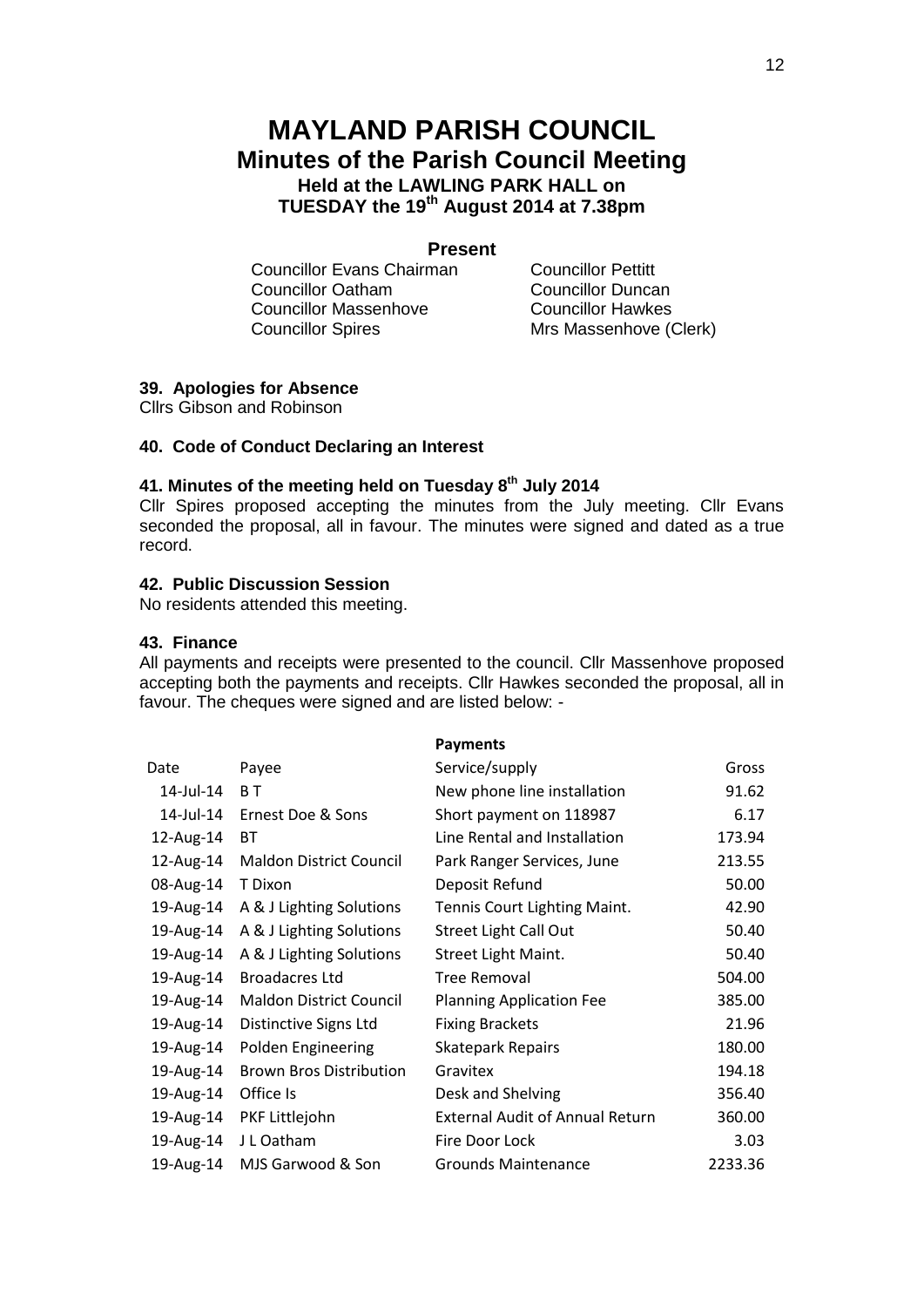# **MAYLAND PARISH COUNCIL Minutes of the Parish Council Meeting Held at the LAWLING PARK HALL on TUESDAY the 19th August 2014 at 7.38pm**

### **Present**

**Councillor Evans Chairman** Councillor Pettitt<br>
Councillor Oatham Councillor Duncan **Councillor Oatham** Councillor Massenhove Councillor Hawkes Councillor Spires Mrs Massenhove (Clerk)

## **39. Apologies for Absence**

Cllrs Gibson and Robinson

#### **40. Code of Conduct Declaring an Interest**

### **41. Minutes of the meeting held on Tuesday 8 th July 2014**

Cllr Spires proposed accepting the minutes from the July meeting. Cllr Evans seconded the proposal, all in favour. The minutes were signed and dated as a true record.

### **42. Public Discussion Session**

No residents attended this meeting.

#### **43. Finance**

All payments and receipts were presented to the council. Cllr Massenhove proposed accepting both the payments and receipts. Cllr Hawkes seconded the proposal, all in favour. The cheques were signed and are listed below: -

|           |                                | <b>Payments</b>                        |         |
|-----------|--------------------------------|----------------------------------------|---------|
| Date      | Payee                          | Service/supply                         | Gross   |
| 14-Jul-14 | B T                            | New phone line installation            | 91.62   |
| 14-Jul-14 | Ernest Doe & Sons              | Short payment on 118987                | 6.17    |
| 12-Aug-14 | <b>BT</b>                      | Line Rental and Installation           | 173.94  |
| 12-Aug-14 | <b>Maldon District Council</b> | Park Ranger Services, June             | 213.55  |
| 08-Aug-14 | T Dixon                        | Deposit Refund                         | 50.00   |
| 19-Aug-14 | A & J Lighting Solutions       | Tennis Court Lighting Maint.           | 42.90   |
| 19-Aug-14 | A & J Lighting Solutions       | <b>Street Light Call Out</b>           | 50.40   |
| 19-Aug-14 | A & J Lighting Solutions       | Street Light Maint.                    | 50.40   |
| 19-Aug-14 | <b>Broadacres Ltd</b>          | Tree Removal                           | 504.00  |
| 19-Aug-14 | <b>Maldon District Council</b> | <b>Planning Application Fee</b>        | 385.00  |
| 19-Aug-14 | Distinctive Signs Ltd          | <b>Fixing Brackets</b>                 | 21.96   |
| 19-Aug-14 | Polden Engineering             | <b>Skatepark Repairs</b>               | 180.00  |
| 19-Aug-14 | <b>Brown Bros Distribution</b> | Gravitex                               | 194.18  |
| 19-Aug-14 | Office Is                      | Desk and Shelving                      | 356.40  |
| 19-Aug-14 | PKF Littlejohn                 | <b>External Audit of Annual Return</b> | 360.00  |
| 19-Aug-14 | J L Oatham                     | Fire Door Lock                         | 3.03    |
| 19-Aug-14 | MJS Garwood & Son              | <b>Grounds Maintenance</b>             | 2233.36 |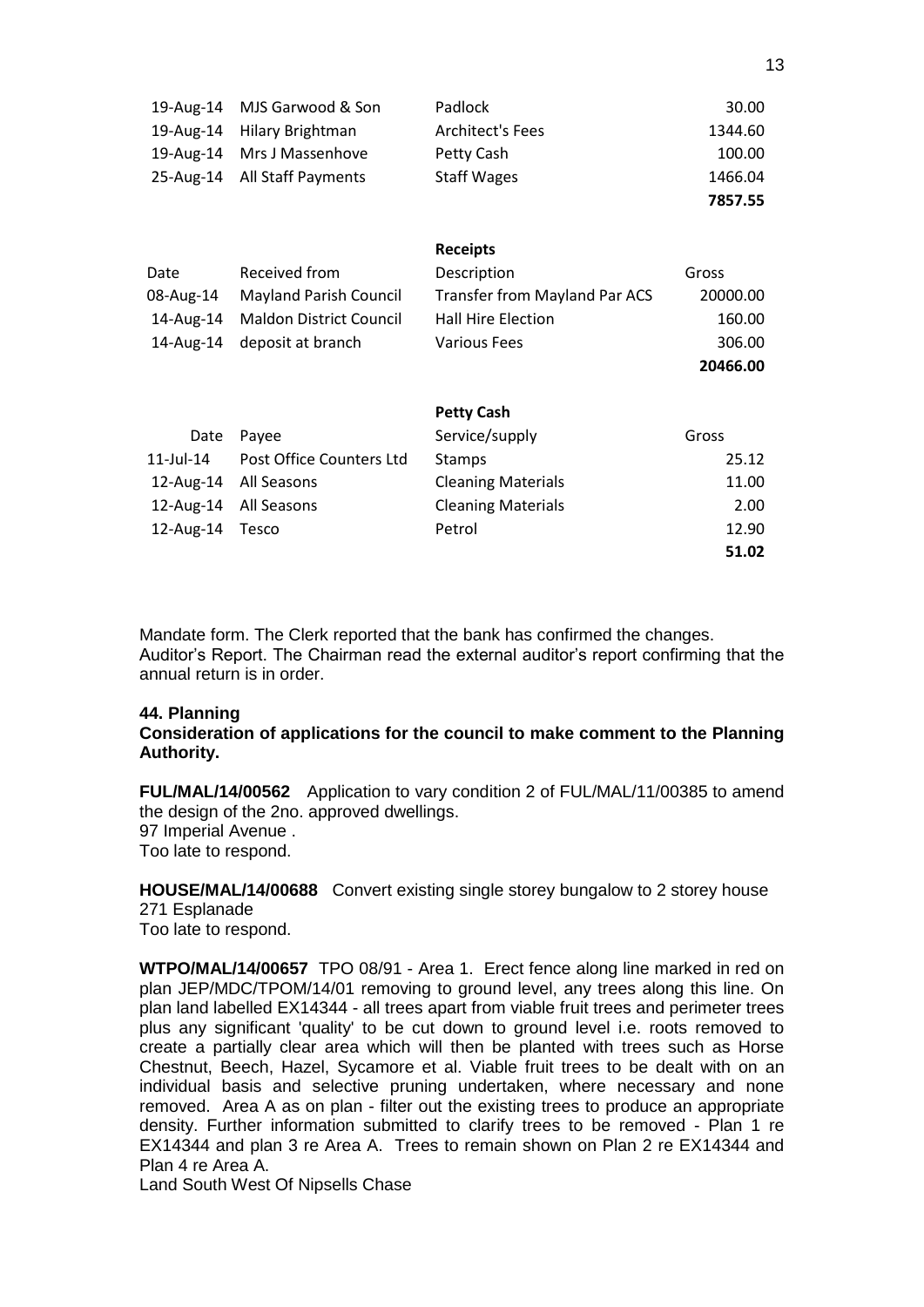| 19-Aug-14 | MJS Garwood & Son              | Padlock                       | 30.00    |
|-----------|--------------------------------|-------------------------------|----------|
| 19-Aug-14 | Hilary Brightman               | <b>Architect's Fees</b>       | 1344.60  |
| 19-Aug-14 | Mrs J Massenhove               | Petty Cash                    | 100.00   |
| 25-Aug-14 | All Staff Payments             | <b>Staff Wages</b>            | 1466.04  |
|           |                                |                               | 7857.55  |
|           |                                |                               |          |
|           |                                | <b>Receipts</b>               |          |
| Date      | Received from                  | Description                   | Gross    |
| 08-Aug-14 | <b>Mayland Parish Council</b>  | Transfer from Mayland Par ACS | 20000.00 |
| 14-Aug-14 | <b>Maldon District Council</b> | <b>Hall Hire Election</b>     | 160.00   |
| 14-Aug-14 | deposit at branch              | <b>Various Fees</b>           | 306.00   |
|           |                                |                               | 20466.00 |
|           |                                | <b>Petty Cash</b>             |          |
|           |                                |                               |          |
| Date      | Payee                          | Service/supply                | Gross    |
| 11-Jul-14 | Post Office Counters Ltd       | <b>Stamps</b>                 | 25.12    |
| 12-Aug-14 | All Seasons                    | <b>Cleaning Materials</b>     | 11.00    |
| 12-Aug-14 | All Seasons                    | <b>Cleaning Materials</b>     | 2.00     |
| 12-Aug-14 | Tesco                          | Petrol                        | 12.90    |
|           |                                |                               | 51.02    |

Mandate form. The Clerk reported that the bank has confirmed the changes. Auditor's Report. The Chairman read the external auditor's report confirming that the annual return is in order.

#### **44. Planning**

**Consideration of applications for the council to make comment to the Planning Authority.**

**FUL/MAL/14/00562** Application to vary condition 2 of FUL/MAL/11/00385 to amend the design of the 2no. approved dwellings. 97 Imperial Avenue . Too late to respond.

**HOUSE/MAL/14/00688** Convert existing single storey bungalow to 2 storey house 271 Esplanade Too late to respond.

**WTPO/MAL/14/00657** TPO 08/91 - Area 1. Erect fence along line marked in red on plan JEP/MDC/TPOM/14/01 removing to ground level, any trees along this line. On plan land labelled EX14344 - all trees apart from viable fruit trees and perimeter trees plus any significant 'quality' to be cut down to ground level i.e. roots removed to create a partially clear area which will then be planted with trees such as Horse Chestnut, Beech, Hazel, Sycamore et al. Viable fruit trees to be dealt with on an individual basis and selective pruning undertaken, where necessary and none removed. Area A as on plan - filter out the existing trees to produce an appropriate density. Further information submitted to clarify trees to be removed - Plan 1 re EX14344 and plan 3 re Area A. Trees to remain shown on Plan 2 re EX14344 and Plan 4 re Area A.

Land South West Of Nipsells Chase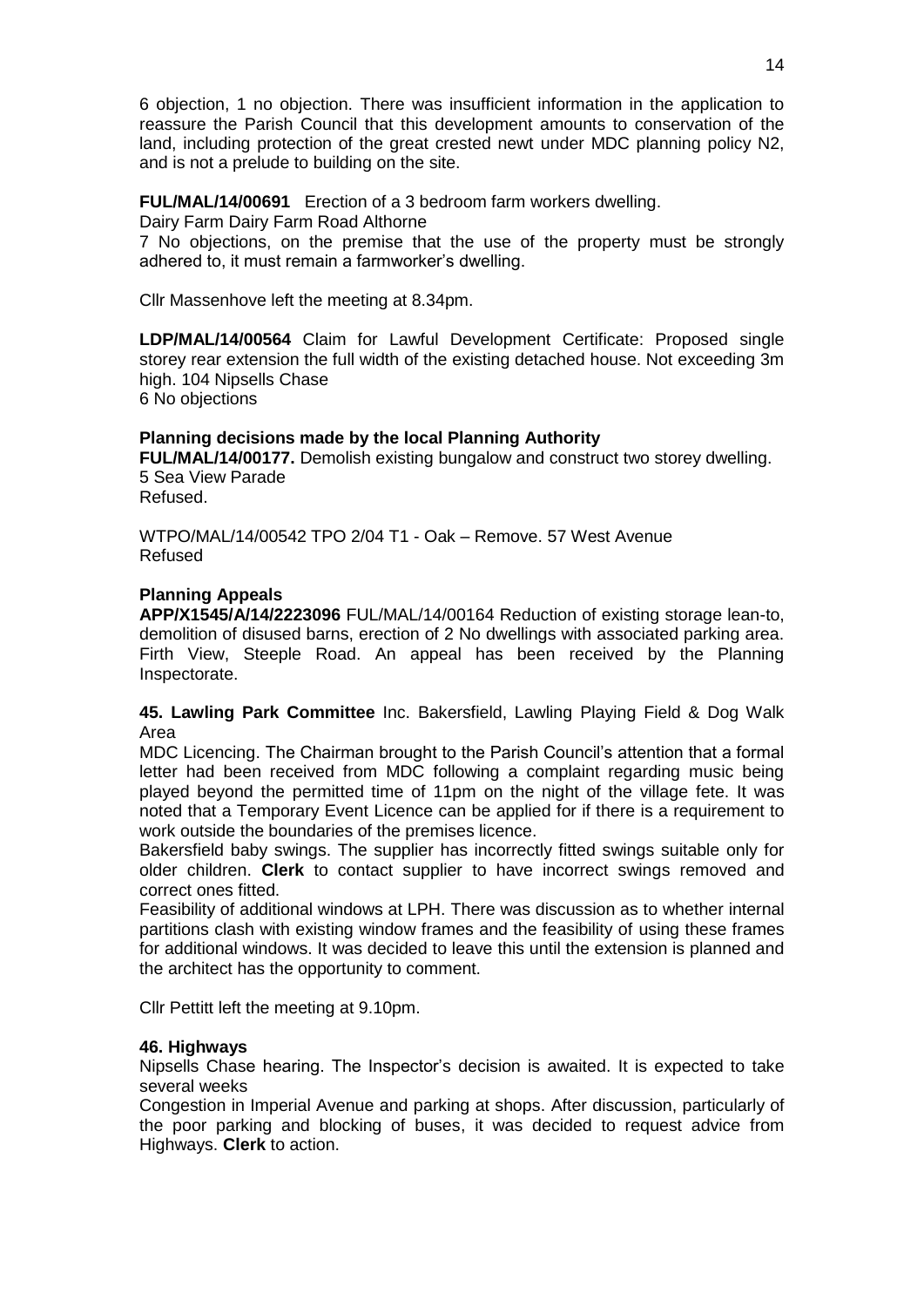6 objection, 1 no objection. There was insufficient information in the application to reassure the Parish Council that this development amounts to conservation of the land, including protection of the great crested newt under MDC planning policy N2, and is not a prelude to building on the site.

### **FUL/MAL/14/00691** Erection of a 3 bedroom farm workers dwelling.

Dairy Farm Dairy Farm Road Althorne

7 No objections, on the premise that the use of the property must be strongly adhered to, it must remain a farmworker's dwelling.

Cllr Massenhove left the meeting at 8.34pm.

**LDP/MAL/14/00564** Claim for Lawful Development Certificate: Proposed single storey rear extension the full width of the existing detached house. Not exceeding 3m high. 104 Nipsells Chase

6 No objections

#### **Planning decisions made by the local Planning Authority**

**FUL/MAL/14/00177.** Demolish existing bungalow and construct two storey dwelling. 5 Sea View Parade

Refused.

WTPO/MAL/14/00542 TPO 2/04 T1 - Oak – Remove. 57 West Avenue Refused

#### **Planning Appeals**

**APP/X1545/A/14/2223096** FUL/MAL/14/00164 Reduction of existing storage lean-to, demolition of disused barns, erection of 2 No dwellings with associated parking area. Firth View, Steeple Road. An appeal has been received by the Planning Inspectorate.

#### **45. Lawling Park Committee** Inc. Bakersfield, Lawling Playing Field & Dog Walk Area

MDC Licencing. The Chairman brought to the Parish Council's attention that a formal letter had been received from MDC following a complaint regarding music being played beyond the permitted time of 11pm on the night of the village fete. It was noted that a Temporary Event Licence can be applied for if there is a requirement to work outside the boundaries of the premises licence.

Bakersfield baby swings. The supplier has incorrectly fitted swings suitable only for older children. **Clerk** to contact supplier to have incorrect swings removed and correct ones fitted.

Feasibility of additional windows at LPH. There was discussion as to whether internal partitions clash with existing window frames and the feasibility of using these frames for additional windows. It was decided to leave this until the extension is planned and the architect has the opportunity to comment.

Cllr Pettitt left the meeting at 9.10pm.

#### **46. Highways**

Nipsells Chase hearing. The Inspector's decision is awaited. It is expected to take several weeks

Congestion in Imperial Avenue and parking at shops. After discussion, particularly of the poor parking and blocking of buses, it was decided to request advice from Highways. **Clerk** to action.